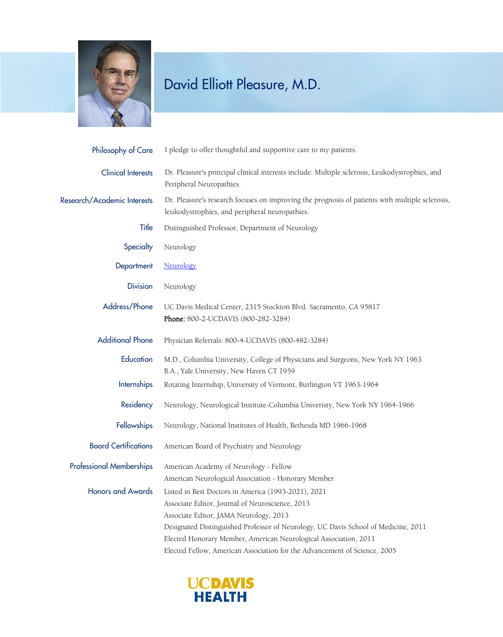

| I pledge to offer thoughtful and supportive care to my patients.                                                                                                                                                                                                                                                                                                                        |
|-----------------------------------------------------------------------------------------------------------------------------------------------------------------------------------------------------------------------------------------------------------------------------------------------------------------------------------------------------------------------------------------|
| Dr. Pleasure's principal clinical interests include: Multiple sclerosis, Leukodystrophies, and<br>Peripheral Neuropathies.                                                                                                                                                                                                                                                              |
| Dr. Pleasure's research focuses on improving the prognosis of patients with multiple sclerosis,<br>leukodystrophies, and peripheral neuropathies.                                                                                                                                                                                                                                       |
| Distinguished Professor, Department of Neurology                                                                                                                                                                                                                                                                                                                                        |
| Neurology                                                                                                                                                                                                                                                                                                                                                                               |
| Neurology                                                                                                                                                                                                                                                                                                                                                                               |
| Neurology                                                                                                                                                                                                                                                                                                                                                                               |
| UC Davis Medical Center, 2315 Stockton Blvd. Sacramento, CA 95817<br>Phone: 800-2-UCDAVIS (800-282-3284)                                                                                                                                                                                                                                                                                |
| Physician Referrals: 800-4-UCDAVIS (800-482-3284)                                                                                                                                                                                                                                                                                                                                       |
| M.D., Columbia University, College of Physicians and Surgeons, New York NY 1963<br>B.A., Yale University, New Haven CT 1959                                                                                                                                                                                                                                                             |
| Rotating Internship, University of Vermont, Burlington VT 1963-1964                                                                                                                                                                                                                                                                                                                     |
| Neurology, Neurological Institute-Columbia Univeristy, New York NY 1964-1966                                                                                                                                                                                                                                                                                                            |
| Neurology, National Institutes of Health, Bethesda MD 1966-1968                                                                                                                                                                                                                                                                                                                         |
| American Board of Psychiatry and Neurology                                                                                                                                                                                                                                                                                                                                              |
| American Academy of Neurology - Fellow<br>American Neurological Association - Honorary Member                                                                                                                                                                                                                                                                                           |
| Listed in Best Doctors in America (1993-2021), 2021<br>Associate Editor, Journal of Neuroscience, 2013<br>Associate Editor, JAMA Neurology, 2013<br>Designated Distinguished Professor of Neurology, UC Davis School of Medicine, 2011<br>Elected Honorary Member, American Neurological Association, 2011<br>Elected Fellow, American Association for the Advancement of Science, 2005 |
|                                                                                                                                                                                                                                                                                                                                                                                         |

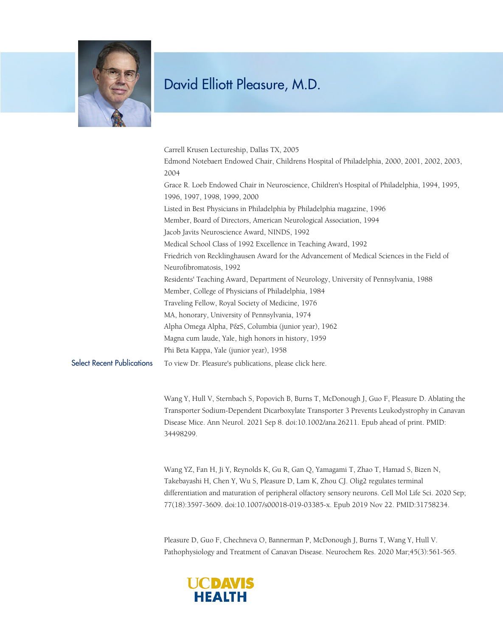

|                                   | Carrell Krusen Lectureship, Dallas TX, 2005                                                                                                                                                                                                                                                                                                                             |
|-----------------------------------|-------------------------------------------------------------------------------------------------------------------------------------------------------------------------------------------------------------------------------------------------------------------------------------------------------------------------------------------------------------------------|
|                                   | Edmond Notebaert Endowed Chair, Childrens Hospital of Philadelphia, 2000, 2001, 2002, 2003,                                                                                                                                                                                                                                                                             |
|                                   | 2004                                                                                                                                                                                                                                                                                                                                                                    |
|                                   | Grace R. Loeb Endowed Chair in Neuroscience, Children's Hospital of Philadelphia, 1994, 1995,                                                                                                                                                                                                                                                                           |
|                                   | 1996, 1997, 1998, 1999, 2000                                                                                                                                                                                                                                                                                                                                            |
|                                   | Listed in Best Physicians in Philadelphia by Philadelphia magazine, 1996                                                                                                                                                                                                                                                                                                |
|                                   | Member, Board of Directors, American Neurological Association, 1994                                                                                                                                                                                                                                                                                                     |
|                                   | Jacob Javits Neuroscience Award, NINDS, 1992                                                                                                                                                                                                                                                                                                                            |
|                                   | Medical School Class of 1992 Excellence in Teaching Award, 1992                                                                                                                                                                                                                                                                                                         |
|                                   | Friedrich von Recklinghausen Award for the Advancement of Medical Sciences in the Field of                                                                                                                                                                                                                                                                              |
|                                   | Neurofibromatosis, 1992                                                                                                                                                                                                                                                                                                                                                 |
|                                   | Residents' Teaching Award, Department of Neurology, University of Pennsylvania, 1988                                                                                                                                                                                                                                                                                    |
|                                   | Member, College of Physicians of Philadelphia, 1984                                                                                                                                                                                                                                                                                                                     |
|                                   | Traveling Fellow, Royal Society of Medicine, 1976                                                                                                                                                                                                                                                                                                                       |
|                                   | MA, honorary, University of Pennsylvania, 1974                                                                                                                                                                                                                                                                                                                          |
|                                   | Alpha Omega Alpha, P&S, Columbia (junior year), 1962                                                                                                                                                                                                                                                                                                                    |
|                                   | Magna cum laude, Yale, high honors in history, 1959                                                                                                                                                                                                                                                                                                                     |
|                                   | Phi Beta Kappa, Yale (junior year), 1958                                                                                                                                                                                                                                                                                                                                |
| <b>Select Recent Publications</b> | To view Dr. Pleasure's publications, please click here.                                                                                                                                                                                                                                                                                                                 |
|                                   | Wang Y, Hull V, Sternbach S, Popovich B, Burns T, McDonough J, Guo F, Pleasure D. Ablating the<br>Transporter Sodium-Dependent Dicarboxylate Transporter 3 Prevents Leukodystrophy in Canavan<br>Disease Mice. Ann Neurol. 2021 Sep 8. doi:10.1002/ana.26211. Epub ahead of print. PMID:<br>34498299.                                                                   |
|                                   | Wang YZ, Fan H, Ji Y, Reynolds K, Gu R, Gan Q, Yamagami T, Zhao T, Hamad S, Bizen N,<br>Takebayashi H, Chen Y, Wu S, Pleasure D, Lam K, Zhou CJ. Olig2 regulates terminal<br>differentiation and maturation of peripheral olfactory sensory neurons. Cell Mol Life Sci. 2020 Sep;<br>77(18):3597-3609. doi:10.1007/s00018-019-03385-x. Epub 2019 Nov 22. PMID:31758234. |

Pleasure D, Guo F, Chechneva O, Bannerman P, McDonough J, Burns T, Wang Y, Hull V. Pathophysiology and Treatment of Canavan Disease. Neurochem Res. 2020 Mar;45(3):561-565.

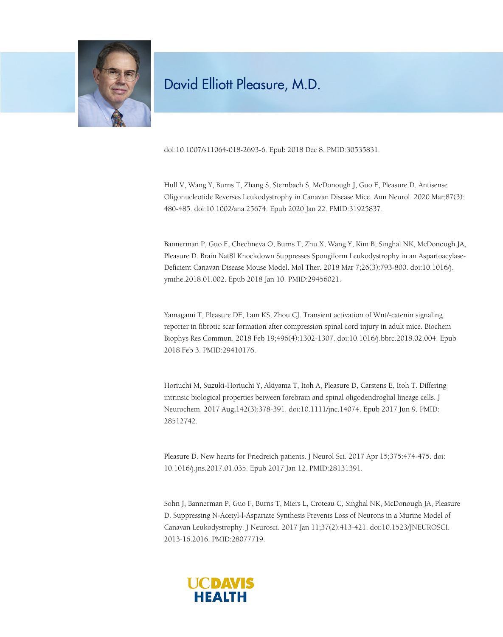

doi:10.1007/s11064-018-2693-6. Epub 2018 Dec 8. PMID:30535831.

Hull V, Wang Y, Burns T, Zhang S, Sternbach S, McDonough J, Guo F, Pleasure D. Antisense Oligonucleotide Reverses Leukodystrophy in Canavan Disease Mice. Ann Neurol. 2020 Mar;87(3): 480-485. doi:10.1002/ana.25674. Epub 2020 Jan 22. PMID:31925837.

Bannerman P, Guo F, Chechneva O, Burns T, Zhu X, Wang Y, Kim B, Singhal NK, McDonough JA, Pleasure D. Brain Nat8l Knockdown Suppresses Spongiform Leukodystrophy in an Aspartoacylase-Deficient Canavan Disease Mouse Model. Mol Ther. 2018 Mar 7;26(3):793-800. doi:10.1016/j. ymthe.2018.01.002. Epub 2018 Jan 10. PMID:29456021.

Yamagami T, Pleasure DE, Lam KS, Zhou CJ. Transient activation of Wnt/-catenin signaling reporter in fibrotic scar formation after compression spinal cord injury in adult mice. Biochem Biophys Res Commun. 2018 Feb 19;496(4):1302-1307. doi:10.1016/j.bbrc.2018.02.004. Epub 2018 Feb 3. PMID:29410176.

Horiuchi M, Suzuki-Horiuchi Y, Akiyama T, Itoh A, Pleasure D, Carstens E, Itoh T. Differing intrinsic biological properties between forebrain and spinal oligodendroglial lineage cells. J Neurochem. 2017 Aug;142(3):378-391. doi:10.1111/jnc.14074. Epub 2017 Jun 9. PMID: 28512742.

Pleasure D. New hearts for Friedreich patients. J Neurol Sci. 2017 Apr 15;375:474-475. doi: 10.1016/j.jns.2017.01.035. Epub 2017 Jan 12. PMID:28131391.

Sohn J, Bannerman P, Guo F, Burns T, Miers L, Croteau C, Singhal NK, McDonough JA, Pleasure D. Suppressing N-Acetyl-l-Aspartate Synthesis Prevents Loss of Neurons in a Murine Model of Canavan Leukodystrophy. J Neurosci. 2017 Jan 11;37(2):413-421. doi:10.1523/JNEUROSCI. 2013-16.2016. PMID:28077719.